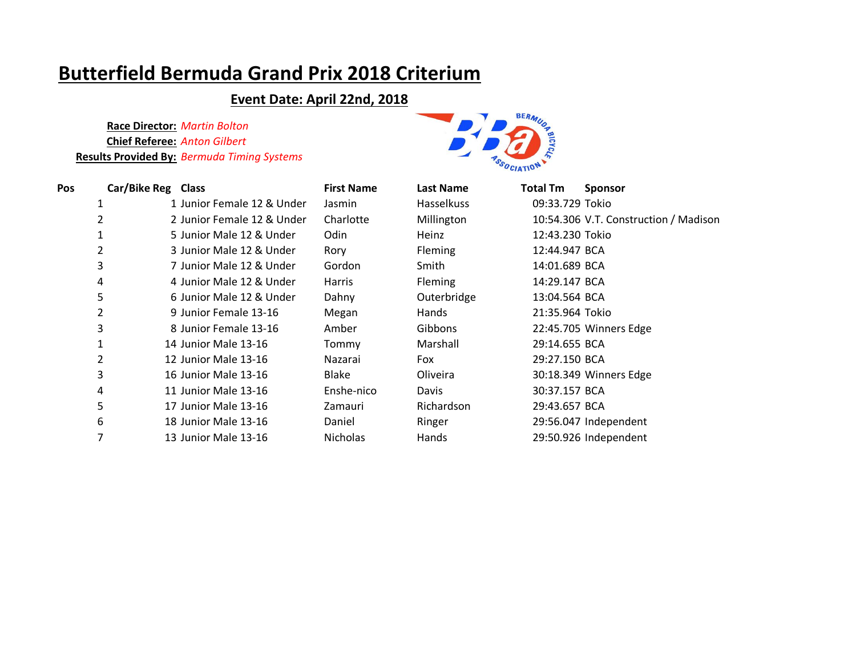### **Event Date: April 22nd, 2018**



| <b>Pos</b> | Car/Bike Reg Class |                            | <b>First Name</b> | <b>Last Name</b>  | Total Tm        | <b>Sponsor</b>                        |
|------------|--------------------|----------------------------|-------------------|-------------------|-----------------|---------------------------------------|
| ┸          |                    | 1 Junior Female 12 & Under | Jasmin            | <b>Hasselkuss</b> | 09:33.729 Tokio |                                       |
| 2          |                    | 2 Junior Female 12 & Under | Charlotte         | Millington        |                 | 10:54.306 V.T. Construction / Madison |
|            |                    | 5 Junior Male 12 & Under   | Odin              | Heinz             | 12:43.230 Tokio |                                       |
| 2          |                    | 3 Junior Male 12 & Under   | Rory              | Fleming           | 12:44.947 BCA   |                                       |
| 3          |                    | 7 Junior Male 12 & Under   | Gordon            | Smith             | 14:01.689 BCA   |                                       |
| 4          |                    | 4 Junior Male 12 & Under   | Harris            | <b>Fleming</b>    | 14:29.147 BCA   |                                       |
| 5          |                    | 6 Junior Male 12 & Under   | Dahny             | Outerbridge       | 13:04.564 BCA   |                                       |
| 2          |                    | 9 Junior Female 13-16      | Megan             | Hands             | 21:35.964 Tokio |                                       |
| 3          |                    | 8 Junior Female 13-16      | Amber             | Gibbons           |                 | 22:45.705 Winners Edge                |
|            |                    | 14 Junior Male 13-16       | Tommy             | Marshall          | 29:14.655 BCA   |                                       |
| 2          |                    | 12 Junior Male 13-16       | Nazarai           | Fox               | 29:27.150 BCA   |                                       |
| 3          |                    | 16 Junior Male 13-16       | Blake             | Oliveira          |                 | 30:18.349 Winners Edge                |
| 4          |                    | 11 Junior Male 13-16       | Enshe-nico        | Davis             | 30:37.157 BCA   |                                       |
| 5          |                    | 17 Junior Male 13-16       | Zamauri           | Richardson        | 29:43.657 BCA   |                                       |
| 6          |                    | 18 Junior Male 13-16       | Daniel            | Ringer            |                 | 29:56.047 Independent                 |
| 7          |                    | 13 Junior Male 13-16       | Nicholas          | Hands             |                 | 29:50.926 Independent                 |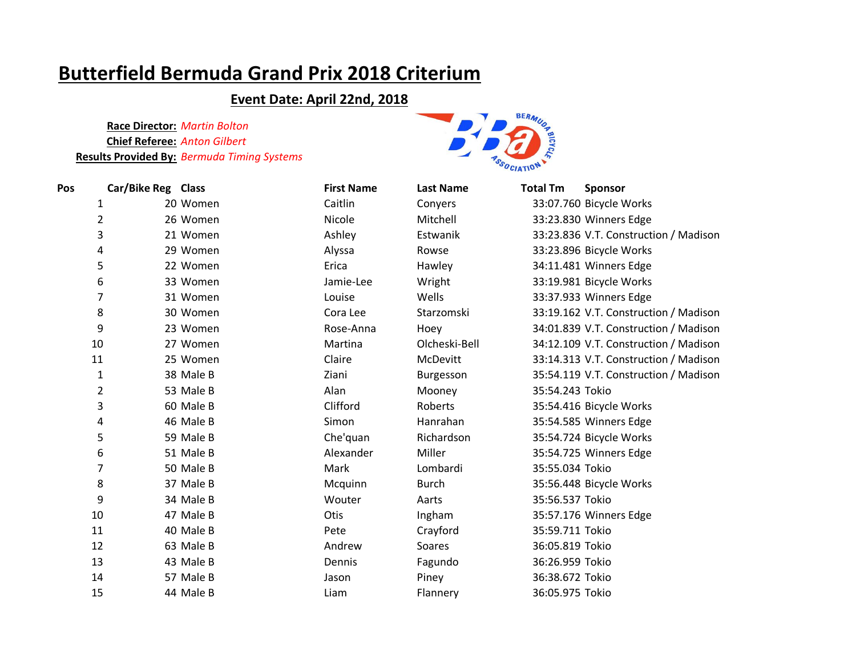### **Event Date: April 22nd, 2018**



| Pos | Car/Bike Reg Class |           | <b>First Name</b> | <b>Last Name</b> | <b>Total Tm</b> | <b>Sponsor</b>                        |
|-----|--------------------|-----------|-------------------|------------------|-----------------|---------------------------------------|
|     | 1                  | 20 Women  | Caitlin           | Conyers          |                 | 33:07.760 Bicycle Works               |
|     | $\overline{2}$     | 26 Women  | Nicole            | Mitchell         |                 | 33:23.830 Winners Edge                |
|     | 3                  | 21 Women  | Ashley            | Estwanik         |                 | 33:23.836 V.T. Construction / Madison |
|     | 4                  | 29 Women  | Alyssa            | Rowse            |                 | 33:23.896 Bicycle Works               |
|     | 5                  | 22 Women  | Erica             | Hawley           |                 | 34:11.481 Winners Edge                |
|     | 6                  | 33 Women  | Jamie-Lee         | Wright           |                 | 33:19.981 Bicycle Works               |
|     | 7                  | 31 Women  | Louise            | Wells            |                 | 33:37.933 Winners Edge                |
|     | 8                  | 30 Women  | Cora Lee          | Starzomski       |                 | 33:19.162 V.T. Construction / Madison |
|     | 9                  | 23 Women  | Rose-Anna         | Hoey             |                 | 34:01.839 V.T. Construction / Madison |
|     | 10                 | 27 Women  | Martina           | Olcheski-Bell    |                 | 34:12.109 V.T. Construction / Madison |
|     | 11                 | 25 Women  | Claire            | McDevitt         |                 | 33:14.313 V.T. Construction / Madison |
|     | $\mathbf{1}$       | 38 Male B | Ziani             | Burgesson        |                 | 35:54.119 V.T. Construction / Madison |
|     | $\overline{2}$     | 53 Male B | Alan              | Mooney           | 35:54.243 Tokio |                                       |
|     | 3                  | 60 Male B | Clifford          | Roberts          |                 | 35:54.416 Bicycle Works               |
|     | 4                  | 46 Male B | Simon             | Hanrahan         |                 | 35:54.585 Winners Edge                |
|     | 5                  | 59 Male B | Che'quan          | Richardson       |                 | 35:54.724 Bicycle Works               |
|     | 6                  | 51 Male B | Alexander         | Miller           |                 | 35:54.725 Winners Edge                |
|     | 7                  | 50 Male B | Mark              | Lombardi         | 35:55.034 Tokio |                                       |
|     | 8                  | 37 Male B | Mcquinn           | <b>Burch</b>     |                 | 35:56.448 Bicycle Works               |
|     | 9                  | 34 Male B | Wouter            | Aarts            | 35:56.537 Tokio |                                       |
|     | 10                 | 47 Male B | Otis              | Ingham           |                 | 35:57.176 Winners Edge                |
|     | 11                 | 40 Male B | Pete              | Crayford         | 35:59.711 Tokio |                                       |
|     | 12                 | 63 Male B | Andrew            | Soares           | 36:05.819 Tokio |                                       |
|     | 13                 | 43 Male B | Dennis            | Fagundo          | 36:26.959 Tokio |                                       |
|     | 14                 | 57 Male B | Jason             | Piney            | 36:38.672 Tokio |                                       |
|     | 15                 | 44 Male B | Liam              | Flannery         | 36:05.975 Tokio |                                       |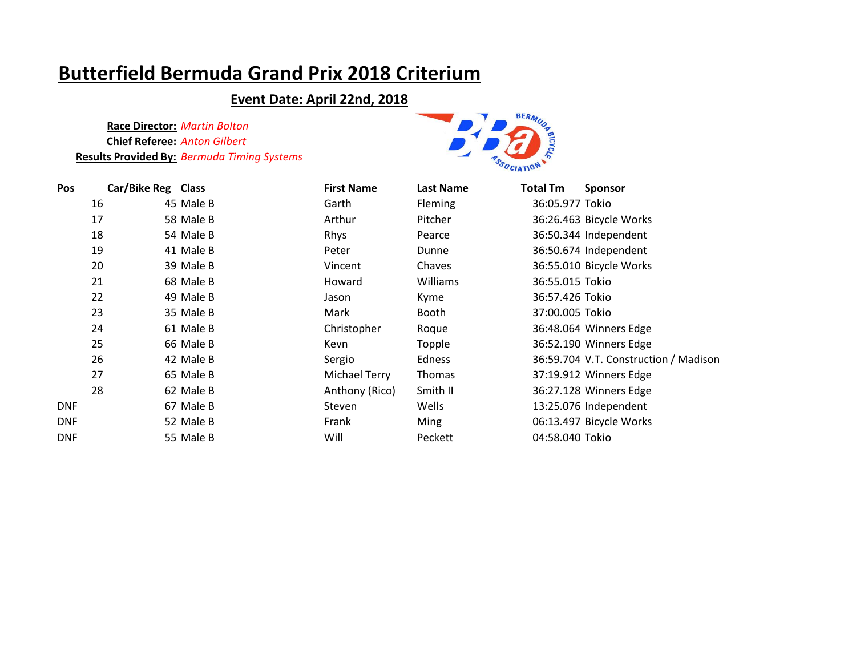### **Event Date: April 22nd, 2018**



| <b>Pos</b> | Car/Bike Reg Class |           | <b>First Name</b> | <b>Last Name</b> | <b>Total Tm</b> | <b>Sponsor</b>                        |
|------------|--------------------|-----------|-------------------|------------------|-----------------|---------------------------------------|
|            | 16                 | 45 Male B | Garth             | <b>Fleming</b>   | 36:05.977 Tokio |                                       |
|            | 17                 | 58 Male B | Arthur            | Pitcher          |                 | 36:26.463 Bicycle Works               |
|            | 18                 | 54 Male B | Rhys              | Pearce           |                 | 36:50.344 Independent                 |
|            | 19                 | 41 Male B | Peter             | Dunne            |                 | 36:50.674 Independent                 |
|            | 20                 | 39 Male B | Vincent           | Chaves           |                 | 36:55.010 Bicycle Works               |
|            | 21                 | 68 Male B | Howard            | Williams         | 36:55.015 Tokio |                                       |
|            | 22                 | 49 Male B | Jason             | Kyme             | 36:57.426 Tokio |                                       |
|            | 23                 | 35 Male B | Mark              | Booth            | 37:00.005 Tokio |                                       |
|            | 24                 | 61 Male B | Christopher       | Roque            |                 | 36:48.064 Winners Edge                |
|            | 25                 | 66 Male B | Kevn              | Topple           |                 | 36:52.190 Winners Edge                |
|            | 26                 | 42 Male B | Sergio            | Edness           |                 | 36:59.704 V.T. Construction / Madison |
|            | 27                 | 65 Male B | Michael Terry     | <b>Thomas</b>    |                 | 37:19.912 Winners Edge                |
|            | 28                 | 62 Male B | Anthony (Rico)    | Smith II         |                 | 36:27.128 Winners Edge                |
| <b>DNF</b> |                    | 67 Male B | Steven            | Wells            |                 | 13:25.076 Independent                 |
| <b>DNF</b> |                    | 52 Male B | Frank             | <b>Ming</b>      |                 | 06:13.497 Bicycle Works               |
| <b>DNF</b> |                    | 55 Male B | Will              | Peckett          | 04:58.040 Tokio |                                       |